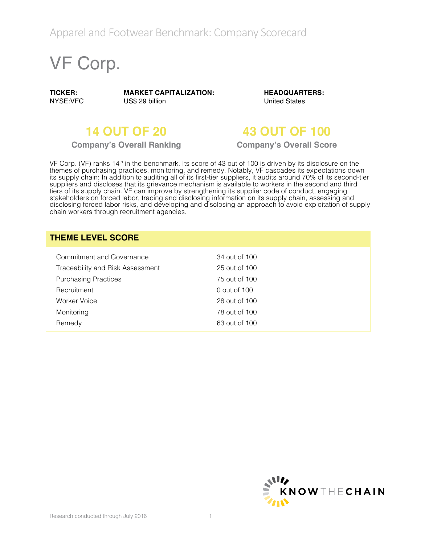# VF Corp.

**TICKER:** NYSE:VFC **MARKET CAPITALIZATION:** US\$ 29 billion

**HEADQUARTERS:** United States

**Company's Overall Ranking Company's Overall Score**

## **14 OUT OF 20 43 OUT OF 100**

VF Corp. (VF) ranks 14<sup>th</sup> in the benchmark. Its score of 43 out of 100 is driven by its disclosure on the themes of purchasing practices, monitoring, and remedy. Notably, VF cascades its expectations down its supply chain: In addition to auditing all of its first-tier suppliers, it audits around 70% of its second-tier suppliers and discloses that its grievance mechanism is available to workers in the second and third tiers of its supply chain. VF can improve by strengthening its supplier code of conduct, engaging stakeholders on forced labor, tracing and disclosing information on its supply chain, assessing and disclosing forced labor risks, and developing and disclosing an approach to avoid exploitation of supply chain workers through recruitment agencies.

#### **THEME LEVEL SCORE**

| Commitment and Governance        | 34 out of 100 |
|----------------------------------|---------------|
| Traceability and Risk Assessment | 25 out of 100 |
| <b>Purchasing Practices</b>      | 75 out of 100 |
| Recruitment                      | 0 out of 100  |
| Worker Voice                     | 28 out of 100 |
| Monitoring                       | 78 out of 100 |
| Remedy                           | 63 out of 100 |

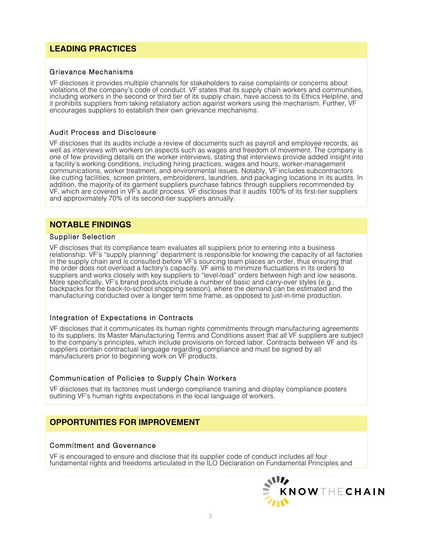### **LEADING PRACTICES**

#### Grievance Mechanisms

VF discloses it provides multiple channels for stakeholders to raise complaints or concerns about violations of the company's code of conduct. VF states that its supply chain workers and communities, including workers in the second or third tier of its supply chain, have access to its Ethics Helpline, and it prohibits suppliers from taking retaliatory action against workers using the mechanism. Further, VF encourages suppliers to establish their own grievance mechanisms.

#### Audit Process and Disclosure

VF discloses that its audits include a review of documents such as payroll and employee records, as well as interviews with workers on aspects such as wages and freedom of movement. The company is one of few providing details on the worker interviews, stating that interviews provide added insight into a facility's working conditions, including hiring practices, wages and hours, worker-management communications, worker treatment, and environmental issues. Notably, VF includes subcontractors like cutting facilities, screen printers, embroiderers, laundries, and packaging locations in its audits. In addition, the majority of its garment suppliers purchase fabrics through suppliers recommended by VF, which are covered in VF's audit process. VF discloses that it audits 100% of its first-tier suppliers and approximately 70% of its second-tier suppliers annually.

#### **NOTABLE FINDINGS**

#### Supplier Selection

VF discloses that its compliance team evaluates all suppliers prior to entering into a business relationship. VF's "supply planning" department is responsible for knowing the capacity of all factories in the supply chain and is consulted before VF's sourcing team places an order, thus ensuring that the order does not overload a factory's capacity. VF aims to minimize fluctuations in its orders to suppliers and works closely with key suppliers to "level-load" orders between high and low seasons. More specifically, VF's brand products include a number of basic and carry-over styles (e.g., backpacks for the back-to-school shopping season), where the demand can be estimated and the manufacturing conducted over a longer term time frame, as opposed to just-in-time production.

#### Integration of Expectations in Contracts

VF discloses that it communicates its human rights commitments through manufacturing agreements to its suppliers. Its Master Manufacturing Terms and Conditions assert that all VF suppliers are subject to the company's principles, which include provisions on forced labor. Contracts between VF and its suppliers contain contractual language regarding compliance and must be signed by all manufacturers prior to beginning work on VF products.

#### Communication of Policies to Supply Chain Workers

VF discloses that its factories must undergo compliance training and display compliance posters outlining VF's human rights expectations in the local language of workers.

#### **OPPORTUNITIES FOR IMPROVEMENT**

#### Commitment and Governance

VF is encouraged to ensure and disclose that its supplier code of conduct includes all four fundamental rights and freedoms articulated in the ILO Declaration on Fundamental Principles and